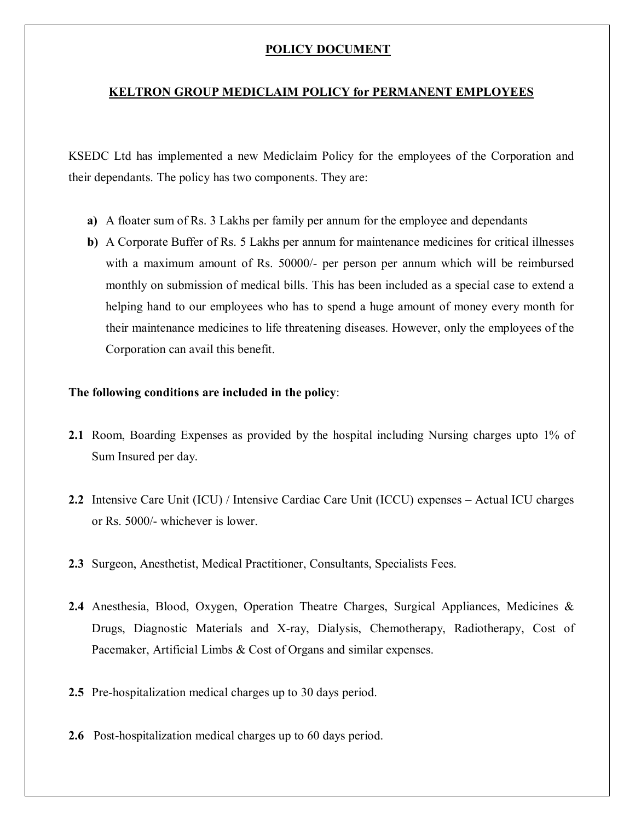## **POLICY DOCUMENT**

### **KELTRON GROUP MEDICLAIM POLICY for PERMANENT EMPLOYEES**

KSEDC Ltd has implemented a new Mediclaim Policy for the employees of the Corporation and their dependants. The policy has two components. They are:

- **a)** A floater sum of Rs. 3 Lakhs per family per annum for the employee and dependants
- **b)** A Corporate Buffer of Rs. 5 Lakhs per annum for maintenance medicines for critical illnesses with a maximum amount of Rs. 50000/- per person per annum which will be reimbursed monthly on submission of medical bills. This has been included as a special case to extend a helping hand to our employees who has to spend a huge amount of money every month for their maintenance medicines to life threatening diseases. However, only the employees of the Corporation can avail this benefit.

#### **The following conditions are included in the policy**:

- **2.1** Room, Boarding Expenses as provided by the hospital including Nursing charges upto 1% of Sum Insured per day.
- **2.2** Intensive Care Unit (ICU) / Intensive Cardiac Care Unit (ICCU) expenses Actual ICU charges or Rs. 5000/- whichever is lower.
- **2.3** Surgeon, Anesthetist, Medical Practitioner, Consultants, Specialists Fees.
- **2.4** Anesthesia, Blood, Oxygen, Operation Theatre Charges, Surgical Appliances, Medicines & Drugs, Diagnostic Materials and X-ray, Dialysis, Chemotherapy, Radiotherapy, Cost of Pacemaker, Artificial Limbs & Cost of Organs and similar expenses.
- **2.5** Pre-hospitalization medical charges up to 30 days period.
- **2.6** Post-hospitalization medical charges up to 60 days period.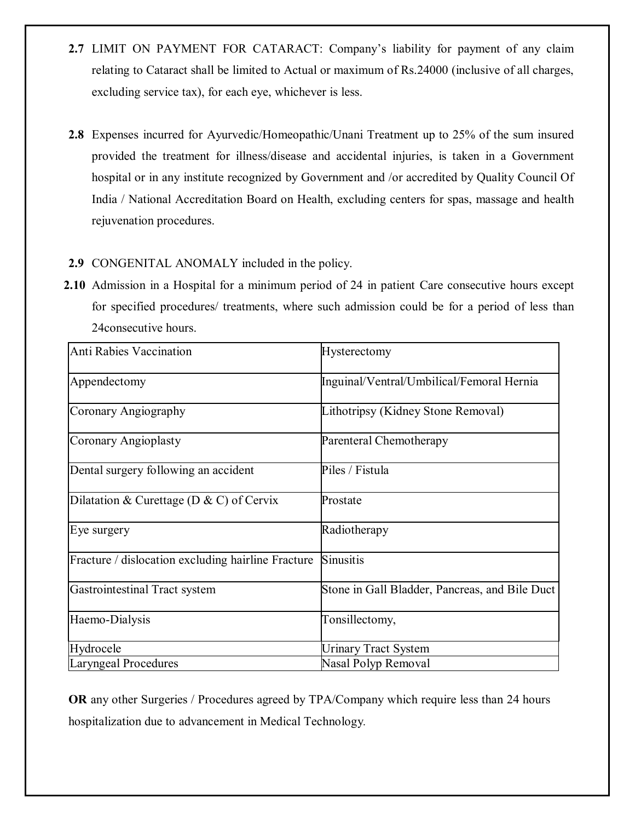- **2.7** LIMIT ON PAYMENT FOR CATARACT: Company's liability for payment of any claim relating to Cataract shall be limited to Actual or maximum of Rs.24000 (inclusive of all charges, excluding service tax), for each eye, whichever is less.
- **2.8** Expenses incurred for Ayurvedic/Homeopathic/Unani Treatment up to 25% of the sum insured provided the treatment for illness/disease and accidental injuries, is taken in a Government hospital or in any institute recognized by Government and /or accredited by Quality Council Of India / National Accreditation Board on Health, excluding centers for spas, massage and health rejuvenation procedures.

# **2.9** CONGENITAL ANOMALY included in the policy.

**2.10** Admission in a Hospital for a minimum period of 24 in patient Care consecutive hours except for specified procedures/ treatments, where such admission could be for a period of less than 24consecutive hours.

| <b>Anti Rabies Vaccination</b>                     | Hysterectomy                                   |
|----------------------------------------------------|------------------------------------------------|
| Appendectomy                                       | Inguinal/Ventral/Umbilical/Femoral Hernia      |
| Coronary Angiography                               | Lithotripsy (Kidney Stone Removal)             |
| Coronary Angioplasty                               | Parenteral Chemotherapy                        |
| Dental surgery following an accident               | Piles / Fistula                                |
| Dilatation & Curettage (D & C) of Cervix           | Prostate                                       |
| Eye surgery                                        | Radiotherapy                                   |
| Fracture / dislocation excluding hairline Fracture | Sinusitis                                      |
| Gastrointestinal Tract system                      | Stone in Gall Bladder, Pancreas, and Bile Duct |
| Haemo-Dialysis                                     | Tonsillectomy,                                 |
| Hydrocele                                          | <b>Urinary Tract System</b>                    |
| Laryngeal Procedures                               | Nasal Polyp Removal                            |

**OR** any other Surgeries / Procedures agreed by TPA/Company which require less than 24 hours hospitalization due to advancement in Medical Technology*.*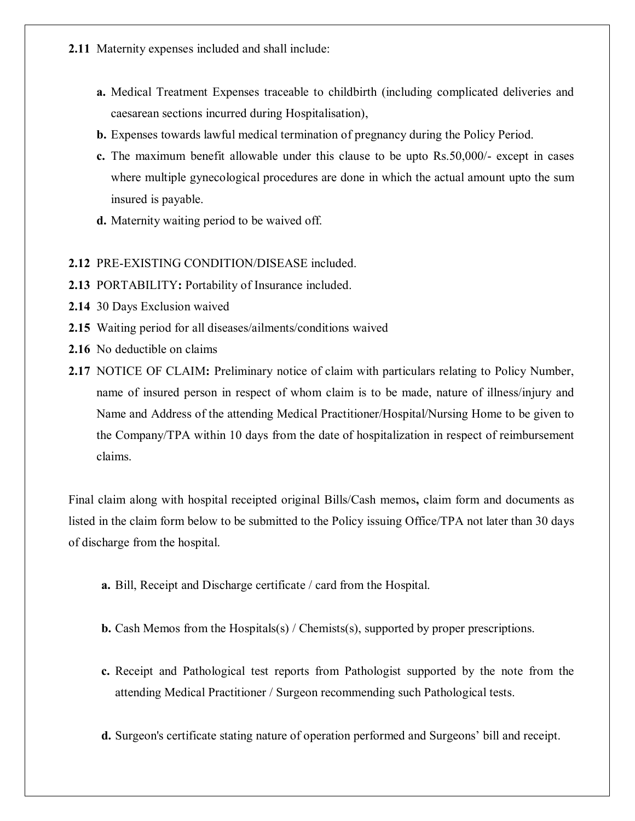- **2.11** Maternity expenses included and shall include:
	- **a.** Medical Treatment Expenses traceable to childbirth (including complicated deliveries and caesarean sections incurred during Hospitalisation),
	- **b.** Expenses towards lawful medical termination of pregnancy during the Policy Period.
	- **c.** The maximum benefit allowable under this clause to be upto Rs.50,000/- except in cases where multiple gynecological procedures are done in which the actual amount upto the sum insured is payable.
	- **d.** Maternity waiting period to be waived off.

### **2.12** PRE-EXISTING CONDITION/DISEASE included.

- **2.13** PORTABILITY**:** Portability of Insurance included.
- **2.14** 30 Days Exclusion waived
- **2.15** Waiting period for all diseases/ailments/conditions waived
- **2.16** No deductible on claims
- **2.17** NOTICE OF CLAIM**:** Preliminary notice of claim with particulars relating to Policy Number, name of insured person in respect of whom claim is to be made, nature of illness/injury and Name and Address of the attending Medical Practitioner/Hospital/Nursing Home to be given to the Company/TPA within 10 days from the date of hospitalization in respect of reimbursement claims.

Final claim along with hospital receipted original Bills/Cash memos**,** claim form and documents as listed in the claim form below to be submitted to the Policy issuing Office/TPA not later than 30 days of discharge from the hospital.

- **a.** Bill, Receipt and Discharge certificate / card from the Hospital.
- **b.** Cash Memos from the Hospitals(s) / Chemists(s), supported by proper prescriptions.
- **c.** Receipt and Pathological test reports from Pathologist supported by the note from the attending Medical Practitioner / Surgeon recommending such Pathological tests.
- **d.** Surgeon's certificate stating nature of operation performed and Surgeons' bill and receipt.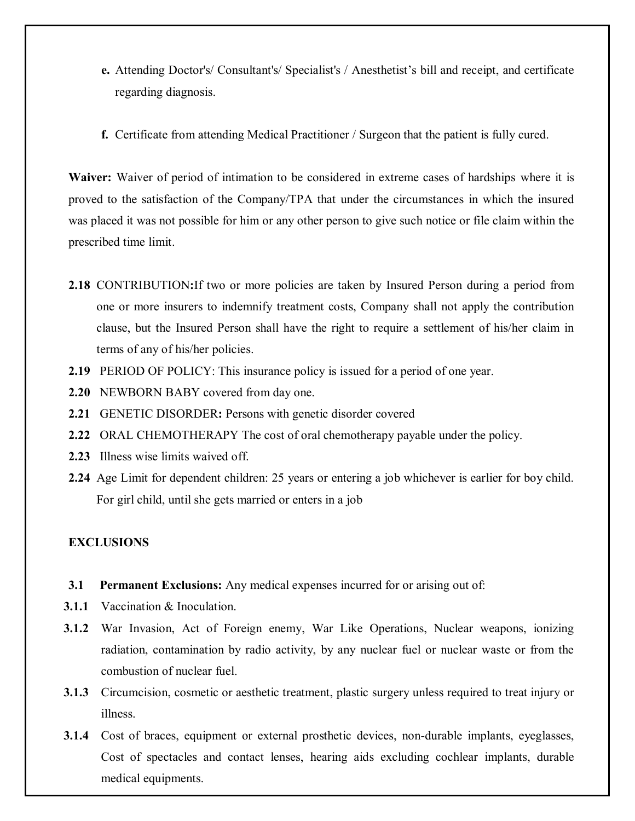- **e.** Attending Doctor's/ Consultant's/ Specialist's / Anesthetist's bill and receipt, and certificate regarding diagnosis.
- **f.** Certificate from attending Medical Practitioner / Surgeon that the patient is fully cured.

**Waiver:** Waiver of period of intimation to be considered in extreme cases of hardships where it is proved to the satisfaction of the Company/TPA that under the circumstances in which the insured was placed it was not possible for him or any other person to give such notice or file claim within the prescribed time limit.

- **2.18** CONTRIBUTION**:**If two or more policies are taken by Insured Person during a period from one or more insurers to indemnify treatment costs, Company shall not apply the contribution clause, but the Insured Person shall have the right to require a settlement of his/her claim in terms of any of his/her policies.
- **2.19** PERIOD OF POLICY: This insurance policy is issued for a period of one year.
- **2.20** NEWBORN BABY covered from day one.
- **2.21** GENETIC DISORDER**:** Persons with genetic disorder covered
- **2.22** ORAL CHEMOTHERAPY The cost of oral chemotherapy payable under the policy.
- **2.23** Illness wise limits waived off.
- **2.24** Age Limit for dependent children: 25 years or entering a job whichever is earlier for boy child. For girl child, until she gets married or enters in a job

## **EXCLUSIONS**

- **3.1 Permanent Exclusions:** Any medical expenses incurred for or arising out of:
- **3.1.1** Vaccination & Inoculation.
- **3.1.2** War Invasion, Act of Foreign enemy, War Like Operations, Nuclear weapons, ionizing radiation, contamination by radio activity, by any nuclear fuel or nuclear waste or from the combustion of nuclear fuel.
- **3.1.3** Circumcision, cosmetic or aesthetic treatment, plastic surgery unless required to treat injury or illness.
- **3.1.4** Cost of braces, equipment or external prosthetic devices, non-durable implants, eyeglasses, Cost of spectacles and contact lenses, hearing aids excluding cochlear implants, durable medical equipments.